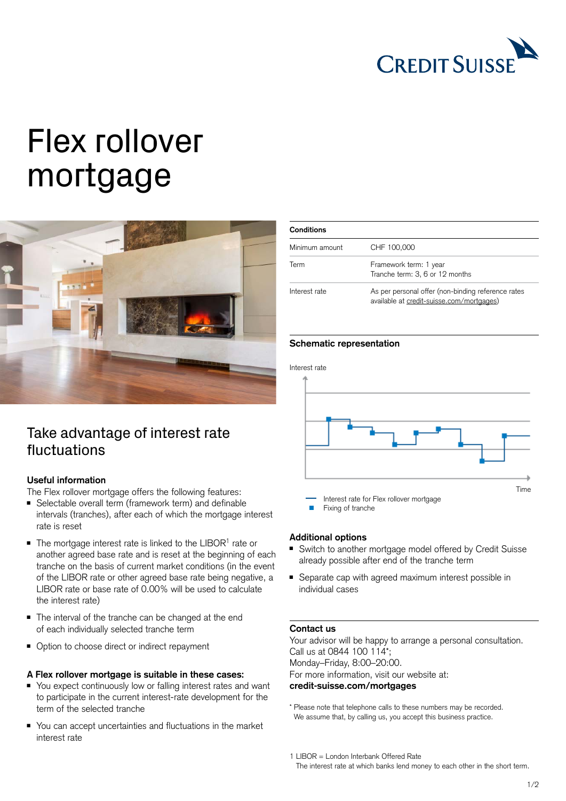

# Flex rollover mortgage



## Take advantage of interest rate fluctuations

### **Useful information**

The Flex rollover mortgage offers the following features:

- Selectable overall term (framework term) and definable intervals (tranches), after each of which the mortgage interest rate is reset
- $\blacksquare$  The mortgage interest rate is linked to the LIBOR<sup>1</sup> rate or another agreed base rate and is reset at the beginning of each tranche on the basis of current market conditions (in the event of the LIBOR rate or other agreed base rate being negative, a LIBOR rate or base rate of 0.00% will be used to calculate the interest rate)
- The interval of the tranche can be changed at the end of each individually selected tranche term
- Option to choose direct or indirect repayment

#### **A Flex rollover mortgage is suitable in these cases:**

- You expect continuously low or falling interest rates and want to participate in the current interest-rate development for the term of the selected tranche
- You can accept uncertainties and fluctuations in the market interest rate

| <b>Conditions</b> |                                                                                                 |
|-------------------|-------------------------------------------------------------------------------------------------|
| Minimum amount    | CHF 100,000                                                                                     |
| Term              | Framework term: 1 year<br>Tranche term: 3, 6 or 12 months                                       |
| Interest rate     | As per personal offer (non-binding reference rates<br>available at credit-suisse.com/mortgages) |

#### **Schematic representation**

Interest rate



#### **Additional options**

- Switch to another mortgage model offered by Credit Suisse already possible after end of the tranche term
- Separate cap with agreed maximum interest possible in individual cases

#### **Contact us**

Your advisor will be happy to arrange a personal consultation. Call us at 0844 100 114\*; Monday–Friday, 8:00–20:00. For more information, visit our website at: **[credit-suisse.com/mortgages](http://credit-suisse.com/mortgages)**

\* Please note that telephone calls to these numbers may be recorded. We assume that, by calling us, you accept this business practice.

<sup>1</sup> LIBOR = London Interbank Offered Rate The interest rate at which banks lend money to each other in the short term.